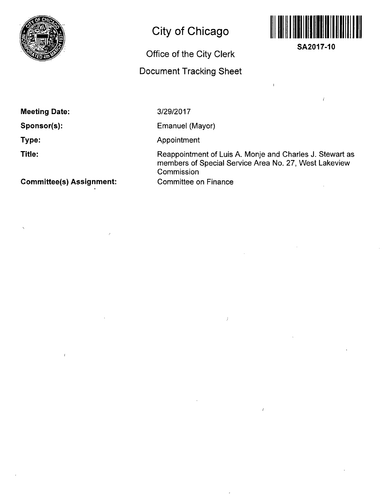

# **City of Chicago**

## **Office of the City Clerk**

## **Document Tracking Sheet**



**SA2017-10** 

 $\frac{1}{2}$ 

**Meeting Date:** 

**Sponsor(s):** 

**Type:** 

**Title:** 

**Committee(s) Assignment:** 

 $\epsilon$ 

3/29/2017

Emanuel (Mayor)

Appointment

Reappointment of Luis A. Monje and Charles J. Stewart as members of Special Service Area No. 27, West Lakeview **Commission** Committee on Finance

 $\overline{1}$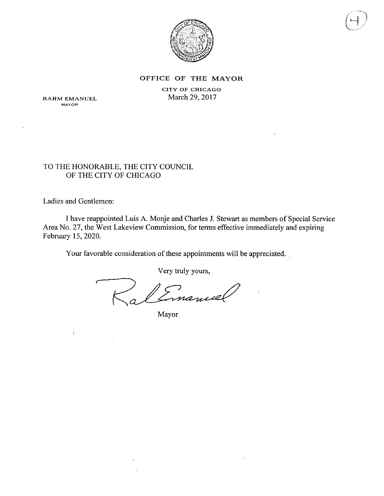

#### OFFICE OF THE MAYOR

CITY OF CHICAGO March 29, 2017

RAHM EMANUEL **MAYOR** 

## TO THE HONORABLE, THE CITY COUNCIL OF THE CITY OF CHICAGO

Ladies and Gentlemen:

 $\int$ 

I have reappointed Luis A. Monje and Charles J. Stewart as members of Special Service Area No. 27, the West Lakeview Commission, for terms effective immediately and expiring February 15,2020.

Your favorable consideration of these appointments will be appreciated.

Very truly yours,

Emanuel

Mayor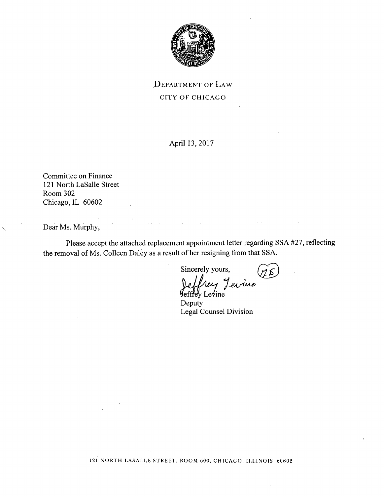

DEPARTMENT OF LAW CITY OF CHICAGO

April 13,2017

Committee on Finance 121 North LaSalle Street Room 302 Chicago, IL 60602

Dear Ms. Murphy,

Please accept the attached replacement appointment letter regarding SSA #27, reflecting the removal of Ms. Colleen Daley as a result of her resigning from that SSA.

*Sincerely yours, ^ ^* 

Jevine  $Levine$ Deputy Legal Counsel Division

121 NORTH LASALLE STREET, ROOM 600, CHICAGO, ILLINOIS 60602